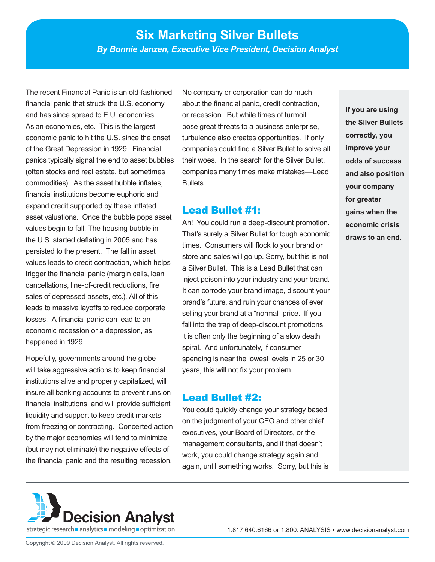# **Six Marketing Silver Bullets**

*By Bonnie Janzen, Executive Vice President, Decision Analyst*

The recent Financial Panic is an old-fashioned financial panic that struck the U.S. economy and has since spread to E.U. economies, Asian economies, etc. This is the largest economic panic to hit the U.S. since the onset of the Great Depression in 1929. Financial panics typically signal the end to asset bubbles (often stocks and real estate, but sometimes commodities). As the asset bubble inflates, financial institutions become euphoric and expand credit supported by these inflated asset valuations. Once the bubble pops asset values begin to fall. The housing bubble in the U.S. started deflating in 2005 and has persisted to the present. The fall in asset values leads to credit contraction, which helps trigger the financial panic (margin calls, loan cancellations, line-of-credit reductions, fire sales of depressed assets, etc.). All of this leads to massive layoffs to reduce corporate losses. A financial panic can lead to an economic recession or a depression, as happened in 1929.

Hopefully, governments around the globe will take aggressive actions to keep financial institutions alive and properly capitalized, will insure all banking accounts to prevent runs on financial institutions, and will provide sufficient liquidity and support to keep credit markets from freezing or contracting. Concerted action by the major economies will tend to minimize (but may not eliminate) the negative effects of the financial panic and the resulting recession.

No company or corporation can do much about the financial panic, credit contraction, or recession. But while times of turmoil pose great threats to a business enterprise, turbulence also creates opportunities. If only companies could find a Silver Bullet to solve all their woes. In the search for the Silver Bullet, companies many times make mistakes—Lead Bullets.

#### Lead Bullet #1:

Ah! You could run a deep-discount promotion. That's surely a Silver Bullet for tough economic times. Consumers will flock to your brand or store and sales will go up. Sorry, but this is not a Silver Bullet. This is a Lead Bullet that can inject poison into your industry and your brand. It can corrode your brand image, discount your brand's future, and ruin your chances of ever selling your brand at a "normal" price. If you fall into the trap of deep-discount promotions, it is often only the beginning of a slow death spiral. And unfortunately, if consumer spending is near the lowest levels in 25 or 30 years, this will not fix your problem.

#### Lead Bullet #2:

You could quickly change your strategy based on the judgment of your CEO and other chief executives, your Board of Directors, or the management consultants, and if that doesn't work, you could change strategy again and again, until something works. Sorry, but this is

**If you are using the Silver Bullets correctly, you improve your odds of success and also position your company for greater gains when the economic crisis draws to an end.** 

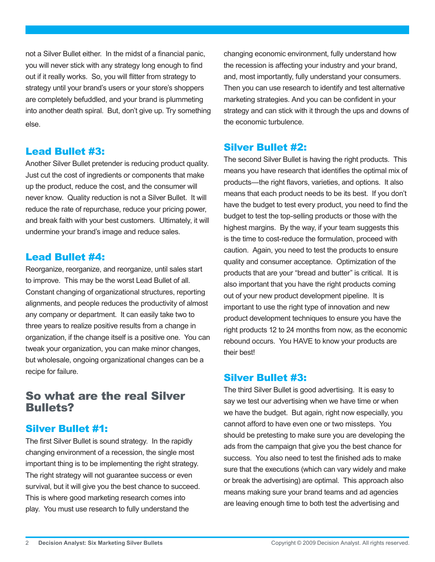not a Silver Bullet either. In the midst of a financial panic, you will never stick with any strategy long enough to find out if it really works. So, you will flitter from strategy to strategy until your brand's users or your store's shoppers are completely befuddled, and your brand is plummeting into another death spiral. But, don't give up. Try something else.

### Lead Bullet #3:

Another Silver Bullet pretender is reducing product quality. Just cut the cost of ingredients or components that make up the product, reduce the cost, and the consumer will never know. Quality reduction is not a Silver Bullet. It will reduce the rate of repurchase, reduce your pricing power, and break faith with your best customers. Ultimately, it will undermine your brand's image and reduce sales.

### Lead Bullet #4:

Reorganize, reorganize, and reorganize, until sales start to improve. This may be the worst Lead Bullet of all. Constant changing of organizational structures, reporting alignments, and people reduces the productivity of almost any company or department. It can easily take two to three years to realize positive results from a change in organization, if the change itself is a positive one. You can tweak your organization, you can make minor changes, but wholesale, ongoing organizational changes can be a recipe for failure.

# So what are the real Silver Bullets?

# Silver Bullet #1:

The first Silver Bullet is sound strategy. In the rapidly changing environment of a recession, the single most important thing is to be implementing the right strategy. The right strategy will not guarantee success or even survival, but it will give you the best chance to succeed. This is where good marketing research comes into play. You must use research to fully understand the

changing economic environment, fully understand how the recession is affecting your industry and your brand, and, most importantly, fully understand your consumers. Then you can use research to identify and test alternative marketing strategies. And you can be confident in your strategy and can stick with it through the ups and downs of the economic turbulence.

# Silver Bullet #2:

The second Silver Bullet is having the right products. This means you have research that identifies the optimal mix of products—the right flavors, varieties, and options. It also means that each product needs to be its best. If you don't have the budget to test every product, you need to find the budget to test the top-selling products or those with the highest margins. By the way, if your team suggests this is the time to cost-reduce the formulation, proceed with caution. Again, you need to test the products to ensure quality and consumer acceptance. Optimization of the products that are your "bread and butter" is critical. It is also important that you have the right products coming out of your new product development pipeline. It is important to use the right type of innovation and new product development techniques to ensure you have the right products 12 to 24 months from now, as the economic rebound occurs. You HAVE to know your products are their best!

### Silver Bullet #3:

The third Silver Bullet is good advertising. It is easy to say we test our advertising when we have time or when we have the budget. But again, right now especially, you cannot afford to have even one or two missteps. You should be pretesting to make sure you are developing the ads from the campaign that give you the best chance for success. You also need to test the finished ads to make sure that the executions (which can vary widely and make or break the advertising) are optimal. This approach also means making sure your brand teams and ad agencies are leaving enough time to both test the advertising and